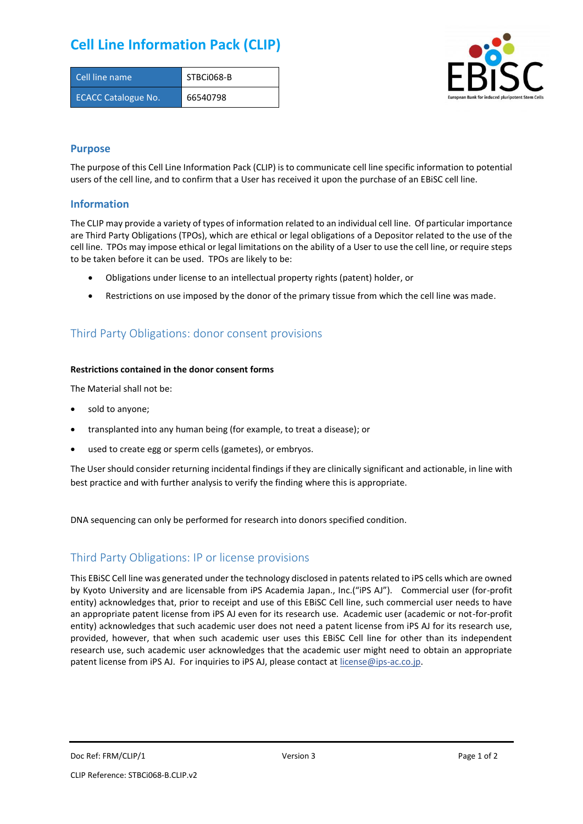## **Cell Line Information Pack (CLIP)**

| Cell line name             | STBCi068-B |
|----------------------------|------------|
| <b>ECACC Catalogue No.</b> | 66540798   |



### **Purpose**

The purpose of this Cell Line Information Pack (CLIP) is to communicate cell line specific information to potential users of the cell line, and to confirm that a User has received it upon the purchase of an EBiSC cell line.

### **Information**

The CLIP may provide a variety of types of information related to an individual cell line. Of particular importance are Third Party Obligations (TPOs), which are ethical or legal obligations of a Depositor related to the use of the cell line. TPOs may impose ethical or legal limitations on the ability of a User to use the cell line, or require steps to be taken before it can be used. TPOs are likely to be:

- Obligations under license to an intellectual property rights (patent) holder, or
- Restrictions on use imposed by the donor of the primary tissue from which the cell line was made.

## Third Party Obligations: donor consent provisions

#### **Restrictions contained in the donor consent forms**

The Material shall not be:

- sold to anyone;
- transplanted into any human being (for example, to treat a disease); or
- used to create egg or sperm cells (gametes), or embryos.

The User should consider returning incidental findings if they are clinically significant and actionable, in line with best practice and with further analysis to verify the finding where this is appropriate.

DNA sequencing can only be performed for research into donors specified condition.

### Third Party Obligations: IP or license provisions

This EBiSC Cell line was generated under the technology disclosed in patents related to iPS cells which are owned by Kyoto University and are licensable from iPS Academia Japan., Inc.("iPS AJ"). Commercial user (for-profit entity) acknowledges that, prior to receipt and use of this EBiSC Cell line, such commercial user needs to have an appropriate patent license from iPS AJ even for its research use. Academic user (academic or not-for-profit entity) acknowledges that such academic user does not need a patent license from iPS AJ for its research use, provided, however, that when such academic user uses this EBiSC Cell line for other than its independent research use, such academic user acknowledges that the academic user might need to obtain an appropriate patent license from iPS AJ. For inquiries to iPS AJ, please contact at [license@ips-ac.co.jp.](mailto:license@ips-ac.co.jp)

Doc Ref: FRM/CLIP/1 **Docessity** Version 3 **Page 1 of 2** Page 1 of 2